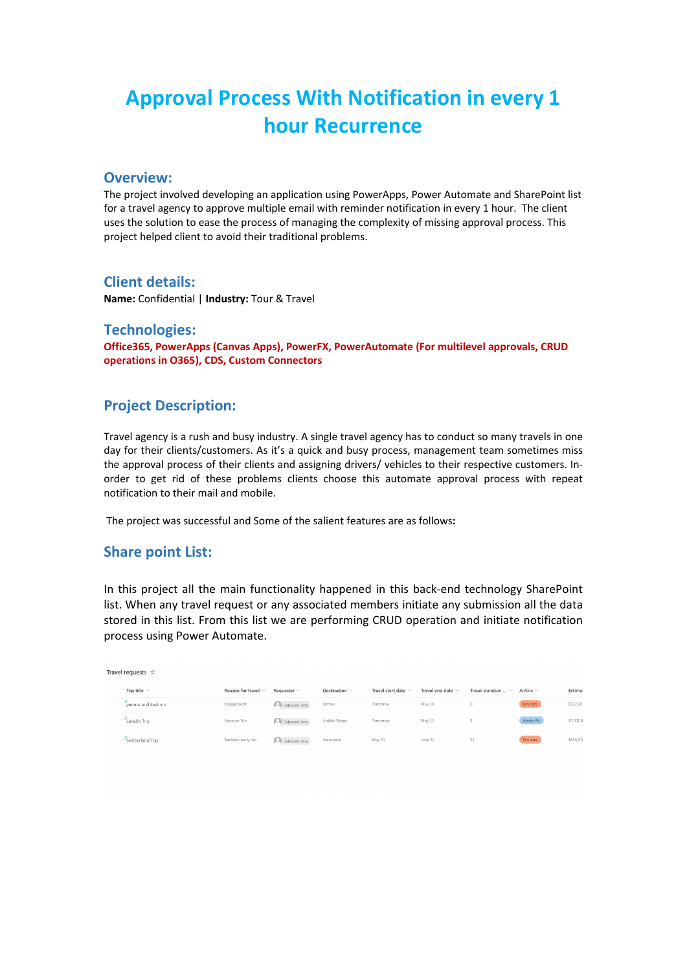# **Approval Process With Notification in every 1 hour Recurrence**

#### **Overview:**

The project involved developing an application using PowerApps, Power Automate and SharePoint list for a travel agency to approve multiple email with reminder notification in every 1 hour. The client uses the solution to ease the process of managing the complexity of missing approval process. This project helped client to avoid their traditional problems.

#### **Client details:**

**Name:** Confidential | **Industry:** Tour & Travel

#### **Technologies:**

**Office365, PowerApps (Canvas Apps), PowerFX, PowerAutomate (For multilevel approvals, CRUD operations in O365), CDS, Custom Connectors**

## **Project Description:**

Travel agency is a rush and busy industry. A single travel agency has to conduct so many travels in one day for their clients/customers. As it's a quick and busy process, management team sometimes miss the approval process of their clients and assigning drivers/ vehicles to their respective customers. Inorder to get rid of these problems clients choose this automate approval process with repeat notification to their mail and mobile.

The project was successful and Some of the salient features are as follows**:**

#### **Share point List:**

In this project all the main functionality happened in this back-end technology SharePoint list. When any travel request or any associated members initiate any submission all the data stored in this list. From this list we are performing CRUD operation and initiate notification process using Power Automate.

| Travel requests $\dot{\varphi}$ |                          |                        |                    |                          |                        |                                 |                |            |
|---------------------------------|--------------------------|------------------------|--------------------|--------------------------|------------------------|---------------------------------|----------------|------------|
| Trip title $\vee$               | Reason for travel $\vee$ | Requester $\vee$       | Destination $\vee$ | Travel start date $\vee$ | Travel end date $\vee$ | Travel duration $\ldots$ $\vee$ | Airline $\vee$ | Estimat    |
| jammu and kashmir               | engagement               | Debasiah Jena          | Jammu              | Tomorrow                 | May 20                 | 6                               | Emirates       | \$522.00   |
| Ladakh Trip                     | Vacation Trip            | Debasiah Jena          | Ladakh Range       | Tomorrow                 | May 23                 | 9                               | Alaska Air     | \$1,000.01 |
| Switzerland Trip                | Bachelor party trip      | <b>O</b> Debasiah Jena | Swizerland         | May 20                   | June 22                | 33                              | Emirates       | \$856,978  |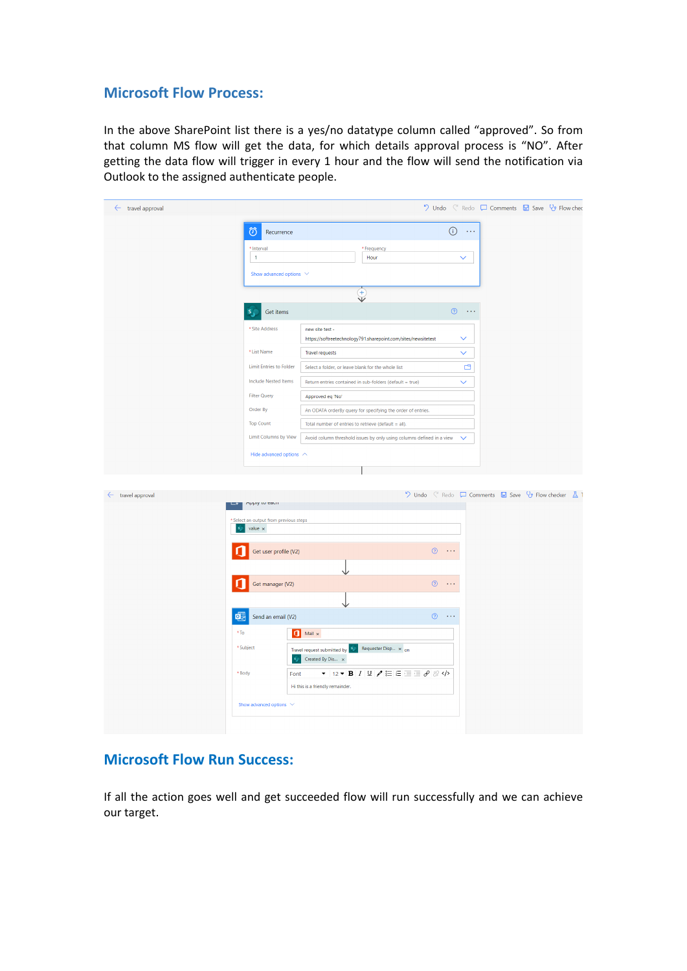## **Microsoft Flow Process:**

In the above SharePoint list there is a yes/no datatype column called "approved". So from that column MS flow will get the data, for which details approval process is "NO". After getting the data flow will trigger in every 1 hour and the flow will send the notification via Outlook to the assigned authenticate people.

| $\leftarrow$ travel approval |                                                                                                |                                                               |                                        |                     | ♡ Undo < Redo □ Comments ■ Save Vy Flow chec        |  |  |  |
|------------------------------|------------------------------------------------------------------------------------------------|---------------------------------------------------------------|----------------------------------------|---------------------|-----------------------------------------------------|--|--|--|
|                              | ත<br>Recurrence                                                                                |                                                               | $\odot$                                | $\sim$ 100 $\sigma$ |                                                     |  |  |  |
|                              |                                                                                                |                                                               |                                        |                     |                                                     |  |  |  |
|                              | * Interval<br>$\,1\,$                                                                          | * Frequency<br>Hour                                           |                                        | $\checkmark$        |                                                     |  |  |  |
|                              | Show advanced options $\vee$                                                                   |                                                               |                                        |                     |                                                     |  |  |  |
|                              |                                                                                                |                                                               |                                        |                     |                                                     |  |  |  |
|                              |                                                                                                |                                                               |                                        |                     |                                                     |  |  |  |
|                              | Get items<br>s                                                                                 |                                                               | $\odot$                                | $\sim$ and $\sim$   |                                                     |  |  |  |
|                              | * Site Address                                                                                 | new site test -                                               |                                        |                     |                                                     |  |  |  |
|                              |                                                                                                | https://softreetechnology791.sharepoint.com/sites/newsitetest |                                        | $\checkmark$        |                                                     |  |  |  |
|                              | * List Name                                                                                    | <b>Travel requests</b>                                        |                                        | $\checkmark$        |                                                     |  |  |  |
|                              | Limit Entries to Folder                                                                        | Select a folder, or leave blank for the whole list            |                                        | å                   |                                                     |  |  |  |
|                              | <b>Include Nested Items</b>                                                                    | Return entries contained in sub-folders (default = true)      |                                        | $\checkmark$        |                                                     |  |  |  |
|                              | <b>Filter Query</b>                                                                            | Approved eq 'No'                                              |                                        |                     |                                                     |  |  |  |
|                              | Order By                                                                                       | An ODATA orderBy query for specifying the order of entries.   |                                        |                     |                                                     |  |  |  |
|                              | <b>Top Count</b>                                                                               | Total number of entries to retrieve (default = all).          |                                        |                     |                                                     |  |  |  |
|                              | Limit Columns by View<br>Avoid column threshold issues by only using columns defined in a view |                                                               |                                        |                     |                                                     |  |  |  |
|                              | Hide advanced options $\curvearrowright$                                                       |                                                               |                                        |                     |                                                     |  |  |  |
|                              |                                                                                                |                                                               |                                        |                     |                                                     |  |  |  |
|                              |                                                                                                |                                                               |                                        |                     |                                                     |  |  |  |
| $\leftarrow$ travel approval |                                                                                                |                                                               |                                        |                     | ♡ Undo < Redo □ Comments ■ Save Vy Flow checker △ T |  |  |  |
|                              | whhile in early                                                                                |                                                               |                                        |                     |                                                     |  |  |  |
|                              | Select an output from previous steps<br>value $\times$                                         |                                                               |                                        |                     |                                                     |  |  |  |
|                              |                                                                                                |                                                               |                                        |                     |                                                     |  |  |  |
|                              | Get user profile (V2)                                                                          |                                                               | $^\circledR$<br>$\ldots$               |                     |                                                     |  |  |  |
|                              |                                                                                                |                                                               |                                        |                     |                                                     |  |  |  |
|                              | Get manager (V2)                                                                               |                                                               | $\circledcirc$<br>$\sim$ $\sim$ $\sim$ |                     |                                                     |  |  |  |
|                              |                                                                                                |                                                               |                                        |                     |                                                     |  |  |  |
| 闻                            | ↓                                                                                              | $\circledcirc$<br>$\sim$ .                                    |                                        |                     |                                                     |  |  |  |
|                              | $*$ To<br>a                                                                                    | Mail $\times$                                                 |                                        |                     |                                                     |  |  |  |
|                              | * Subject                                                                                      | Requester Disp x on                                           |                                        |                     |                                                     |  |  |  |
|                              | s,                                                                                             | Travel request submitted by<br>Created By Dis x               |                                        |                     |                                                     |  |  |  |
|                              | * Body<br>Font                                                                                 | ▼ 12 ▼ B I U / 三 三 三 ∂ ※                                      |                                        |                     |                                                     |  |  |  |
|                              |                                                                                                | Hi this is a friendly remainder.                              |                                        |                     |                                                     |  |  |  |
|                              | Show advanced options $\vee$                                                                   |                                                               |                                        |                     |                                                     |  |  |  |
|                              |                                                                                                |                                                               |                                        |                     |                                                     |  |  |  |
|                              |                                                                                                |                                                               |                                        |                     |                                                     |  |  |  |

## **Microsoft Flow Run Success:**

If all the action goes well and get succeeded flow will run successfully and we can achieve our target.